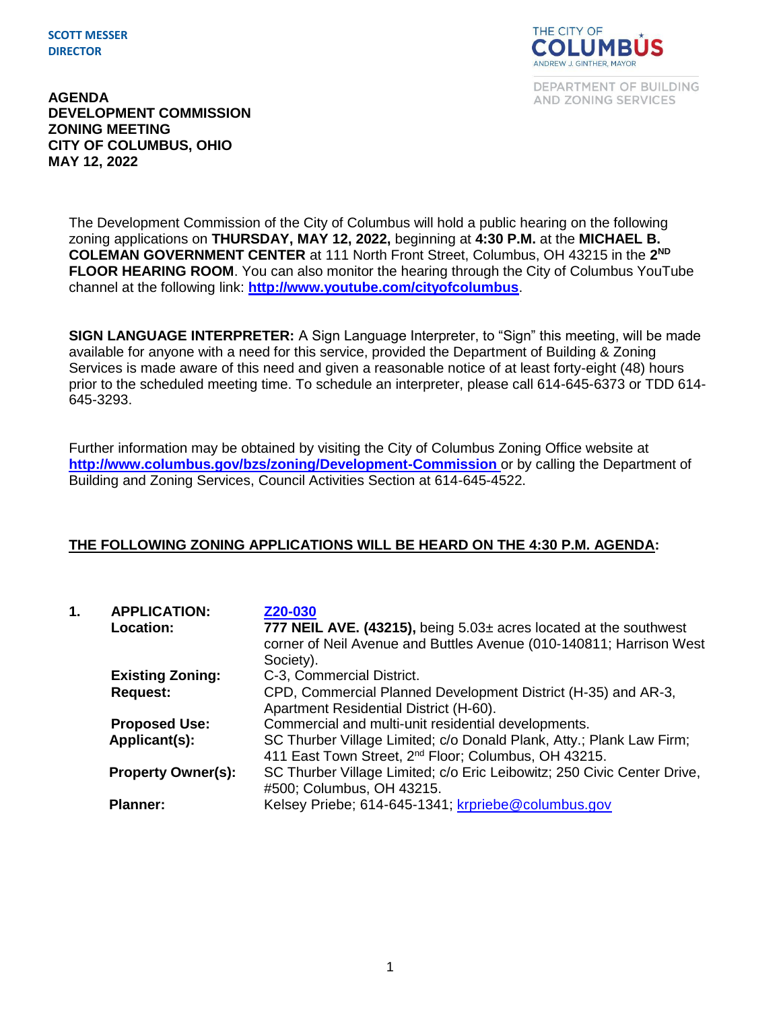**SCOTT MESSER DIRECTOR**



DEPARTMENT OF BUILDING AND ZONING SERVICES

**AGENDA DEVELOPMENT COMMISSION ZONING MEETING CITY OF COLUMBUS, OHIO MAY 12, 2022**

> The Development Commission of the City of Columbus will hold a public hearing on the following zoning applications on **THURSDAY, MAY 12, 2022,** beginning at **4:30 P.M.** at the **MICHAEL B. COLEMAN GOVERNMENT CENTER** at 111 North Front Street, Columbus, OH 43215 in the **2 ND FLOOR HEARING ROOM**. You can also monitor the hearing through the City of Columbus YouTube channel at the following link: **<http://www.youtube.com/cityofcolumbus>**.

**SIGN LANGUAGE INTERPRETER:** A Sign Language Interpreter, to "Sign" this meeting, will be made available for anyone with a need for this service, provided the Department of Building & Zoning Services is made aware of this need and given a reasonable notice of at least forty-eight (48) hours prior to the scheduled meeting time. To schedule an interpreter, please call 614-645-6373 or TDD 614- 645-3293.

Further information may be obtained by visiting the City of Columbus Zoning Office website at **http://www.columbus.gov/bzs/zoning/Development-Commission** or by calling the Department of Building and Zoning Services, Council Activities Section at 614-645-4522.

## **THE FOLLOWING ZONING APPLICATIONS WILL BE HEARD ON THE 4:30 P.M. AGENDA:**

| 1. | <b>APPLICATION:</b>       | Z20-030                                                                 |
|----|---------------------------|-------------------------------------------------------------------------|
|    | <b>Location:</b>          | 777 NEIL AVE. (43215), being $5.03\pm$ acres located at the southwest   |
|    |                           | corner of Neil Avenue and Buttles Avenue (010-140811; Harrison West     |
|    |                           | Society).                                                               |
|    | <b>Existing Zoning:</b>   | C-3, Commercial District.                                               |
|    | <b>Request:</b>           | CPD, Commercial Planned Development District (H-35) and AR-3,           |
|    |                           | Apartment Residential District (H-60).                                  |
|    | <b>Proposed Use:</b>      | Commercial and multi-unit residential developments.                     |
|    | Applicant(s):             | SC Thurber Village Limited; c/o Donald Plank, Atty.; Plank Law Firm;    |
|    |                           | 411 East Town Street, 2 <sup>nd</sup> Floor; Columbus, OH 43215.        |
|    | <b>Property Owner(s):</b> | SC Thurber Village Limited; c/o Eric Leibowitz; 250 Civic Center Drive, |
|    |                           | #500; Columbus, OH 43215.                                               |
|    | <b>Planner:</b>           | Kelsey Priebe; 614-645-1341; krpriebe@columbus.gov                      |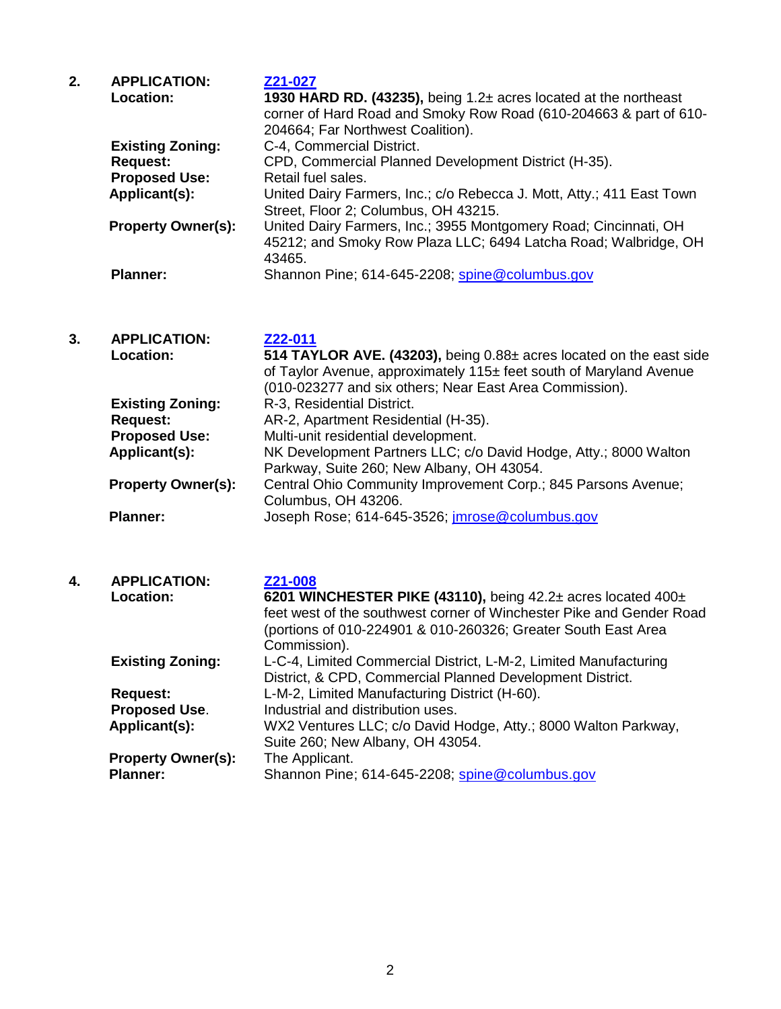| 2. | <b>APPLICATION:</b>       | Z21-027                                                               |
|----|---------------------------|-----------------------------------------------------------------------|
|    | <b>Location:</b>          | 1930 HARD RD. (43235), being 1.2± acres located at the northeast      |
|    |                           | corner of Hard Road and Smoky Row Road (610-204663 & part of 610-     |
|    |                           | 204664; Far Northwest Coalition).                                     |
|    | <b>Existing Zoning:</b>   | C-4, Commercial District.                                             |
|    | <b>Request:</b>           | CPD, Commercial Planned Development District (H-35).                  |
|    | <b>Proposed Use:</b>      | Retail fuel sales.                                                    |
|    | Applicant(s):             | United Dairy Farmers, Inc.; c/o Rebecca J. Mott, Atty.; 411 East Town |
|    |                           | Street, Floor 2; Columbus, OH 43215.                                  |
|    | <b>Property Owner(s):</b> | United Dairy Farmers, Inc.; 3955 Montgomery Road; Cincinnati, OH      |
|    |                           | 45212; and Smoky Row Plaza LLC; 6494 Latcha Road; Walbridge, OH       |
|    |                           | 43465.                                                                |
|    | <b>Planner:</b>           | Shannon Pine; 614-645-2208; spine@columbus.gov                        |
|    |                           |                                                                       |

## **3. APPLICATION: [Z22-011](https://portal.columbus.gov/permits/urlrouting.ashx?type=1000&Module=Zoning&capID1=22LAC&capID2=00000&capID3=00158&agencyCode=COLUMBUS&HideHeader=true) Location: 514 TAYLOR AVE. (43203),** being 0.88± acres located on the east side of Taylor Avenue, approximately 115± feet south of Maryland Avenue (010-023277 and six others; Near East Area Commission). **Existing Zoning:** R-3, Residential District. **Request:** AR-2, Apartment Residential (H-35).<br>**Proposed Use:** Multi-unit residential development. **Proposed Use:** Multi-unit residential development. **Applicant(s):** NK Development Partners LLC; c/o David Hodge, Atty.; 8000 Walton Parkway, Suite 260; New Albany, OH 43054. **Property Owner(s):** Central Ohio Community Improvement Corp.; 845 Parsons Avenue; Columbus, OH 43206. Planner: Joseph Rose; 614-645-3526; *imrose@columbus.gov*

| 4. | <b>APPLICATION:</b><br>Location:             | Z21-008<br>6201 WINCHESTER PIKE (43110), being $42.2\pm$ acres located $400\pm$<br>feet west of the southwest corner of Winchester Pike and Gender Road<br>(portions of 010-224901 & 010-260326; Greater South East Area<br>Commission). |
|----|----------------------------------------------|------------------------------------------------------------------------------------------------------------------------------------------------------------------------------------------------------------------------------------------|
|    | <b>Existing Zoning:</b>                      | L-C-4, Limited Commercial District, L-M-2, Limited Manufacturing<br>District, & CPD, Commercial Planned Development District.                                                                                                            |
|    | <b>Request:</b>                              | L-M-2, Limited Manufacturing District (H-60).                                                                                                                                                                                            |
|    | <b>Proposed Use.</b>                         | Industrial and distribution uses.                                                                                                                                                                                                        |
|    | Applicant(s):                                | WX2 Ventures LLC; c/o David Hodge, Atty.; 8000 Walton Parkway,<br>Suite 260; New Albany, OH 43054.                                                                                                                                       |
|    | <b>Property Owner(s):</b><br><b>Planner:</b> | The Applicant.<br>Shannon Pine; 614-645-2208; spine@columbus.gov                                                                                                                                                                         |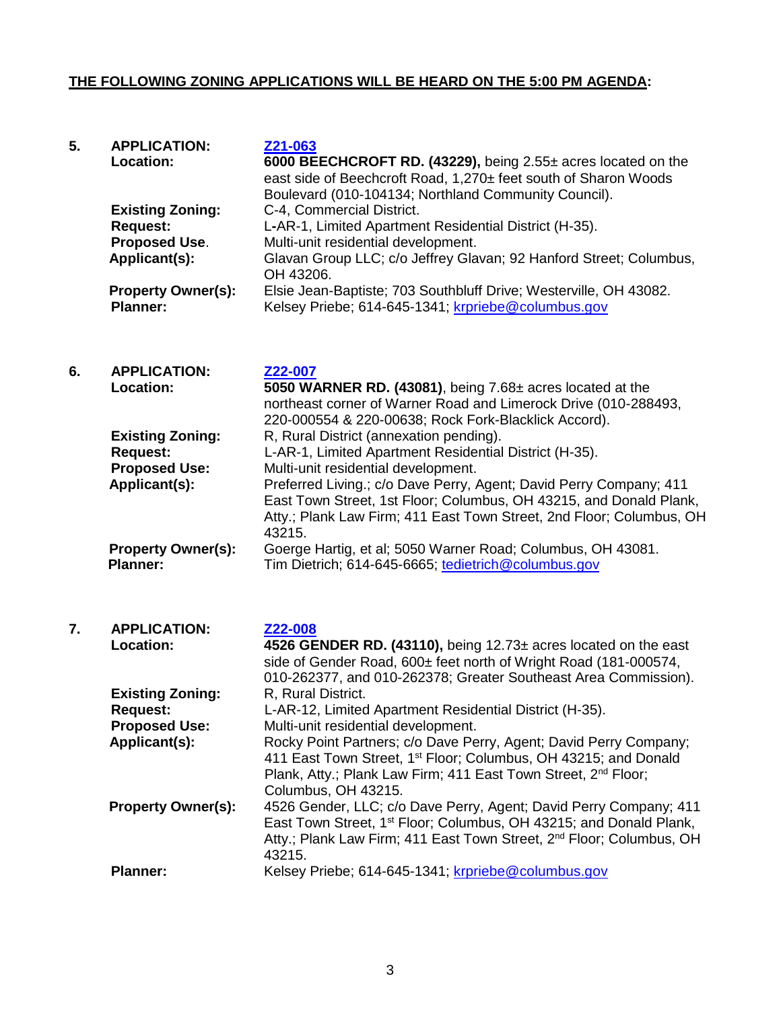## **THE FOLLOWING ZONING APPLICATIONS WILL BE HEARD ON THE 5:00 PM AGENDA:**

| 5. | <b>APPLICATION:</b>       | Z21-063                                                            |
|----|---------------------------|--------------------------------------------------------------------|
|    | <b>Location:</b>          | 6000 BEECHCROFT RD. (43229), being 2.55± acres located on the      |
|    |                           | east side of Beechcroft Road, 1,270± feet south of Sharon Woods    |
|    |                           | Boulevard (010-104134; Northland Community Council).               |
|    | <b>Existing Zoning:</b>   | C-4, Commercial District.                                          |
|    | <b>Request:</b>           | L-AR-1, Limited Apartment Residential District (H-35).             |
|    | <b>Proposed Use.</b>      | Multi-unit residential development.                                |
|    | Applicant(s):             | Glavan Group LLC; c/o Jeffrey Glavan; 92 Hanford Street; Columbus, |
|    |                           | OH 43206.                                                          |
|    | <b>Property Owner(s):</b> | Elsie Jean-Baptiste; 703 Southbluff Drive; Westerville, OH 43082.  |
|    | <b>Planner:</b>           | Kelsey Priebe; 614-645-1341; krpriebe@columbus.gov                 |
|    |                           |                                                                    |

| 6. | <b>APPLICATION:</b>       | Z22-007                                                              |
|----|---------------------------|----------------------------------------------------------------------|
|    | Location:                 | 5050 WARNER RD. (43081), being 7.68± acres located at the            |
|    |                           | northeast corner of Warner Road and Limerock Drive (010-288493,      |
|    |                           | 220-000554 & 220-00638; Rock Fork-Blacklick Accord).                 |
|    | <b>Existing Zoning:</b>   | R, Rural District (annexation pending).                              |
|    | <b>Request:</b>           | L-AR-1, Limited Apartment Residential District (H-35).               |
|    | <b>Proposed Use:</b>      | Multi-unit residential development.                                  |
|    | Applicant(s):             | Preferred Living.; c/o Dave Perry, Agent; David Perry Company; 411   |
|    |                           | East Town Street, 1st Floor; Columbus, OH 43215, and Donald Plank,   |
|    |                           | Atty.; Plank Law Firm; 411 East Town Street, 2nd Floor; Columbus, OH |
|    |                           | 43215.                                                               |
|    | <b>Property Owner(s):</b> | Goerge Hartig, et al; 5050 Warner Road; Columbus, OH 43081.          |
|    | <b>Planner:</b>           | Tim Dietrich; 614-645-6665; tedietrich@columbus.gov                  |

| 7. | <b>APPLICATION:</b><br>Location: | Z22-008<br>4526 GENDER RD. (43110), being $12.73\pm$ acres located on the east<br>side of Gender Road, 600± feet north of Wright Road (181-000574,<br>010-262377, and 010-262378; Greater Southeast Area Commission).                                 |
|----|----------------------------------|-------------------------------------------------------------------------------------------------------------------------------------------------------------------------------------------------------------------------------------------------------|
|    | <b>Existing Zoning:</b>          | R, Rural District.                                                                                                                                                                                                                                    |
|    | <b>Request:</b>                  | L-AR-12, Limited Apartment Residential District (H-35).                                                                                                                                                                                               |
|    | <b>Proposed Use:</b>             | Multi-unit residential development.                                                                                                                                                                                                                   |
|    | Applicant(s):                    | Rocky Point Partners; c/o Dave Perry, Agent; David Perry Company;<br>411 East Town Street, 1 <sup>st</sup> Floor; Columbus, OH 43215; and Donald<br>Plank, Atty.; Plank Law Firm; 411 East Town Street, 2 <sup>nd</sup> Floor;<br>Columbus, OH 43215. |
|    | <b>Property Owner(s):</b>        | 4526 Gender, LLC; c/o Dave Perry, Agent; David Perry Company; 411<br>East Town Street, 1 <sup>st</sup> Floor; Columbus, OH 43215; and Donald Plank,<br>Atty.; Plank Law Firm; 411 East Town Street, 2 <sup>nd</sup> Floor; Columbus, OH<br>43215.     |
|    | <b>Planner:</b>                  | Kelsey Priebe; 614-645-1341; krpriebe@columbus.gov                                                                                                                                                                                                    |